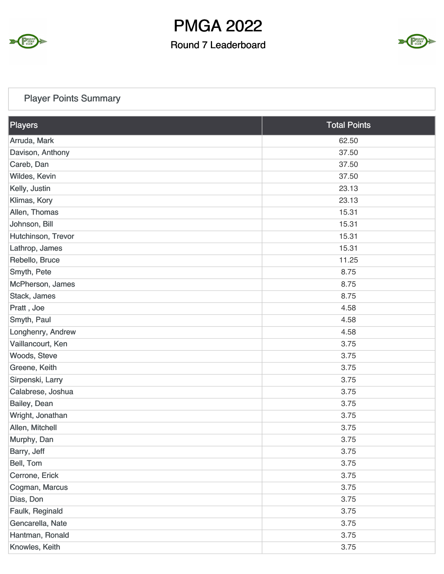

#### Round 7 Leaderboard



### Player Points Summary

| Players            | <b>Total Points</b> |
|--------------------|---------------------|
| Arruda, Mark       | 62.50               |
| Davison, Anthony   | 37.50               |
| Careb, Dan         | 37.50               |
| Wildes, Kevin      | 37.50               |
| Kelly, Justin      | 23.13               |
| Klimas, Kory       | 23.13               |
| Allen, Thomas      | 15.31               |
| Johnson, Bill      | 15.31               |
| Hutchinson, Trevor | 15.31               |
| Lathrop, James     | 15.31               |
| Rebello, Bruce     | 11.25               |
| Smyth, Pete        | 8.75                |
| McPherson, James   | 8.75                |
| Stack, James       | 8.75                |
| Pratt, Joe         | 4.58                |
| Smyth, Paul        | 4.58                |
| Longhenry, Andrew  | 4.58                |
| Vaillancourt, Ken  | 3.75                |
| Woods, Steve       | 3.75                |
| Greene, Keith      | 3.75                |
| Sirpenski, Larry   | 3.75                |
| Calabrese, Joshua  | 3.75                |
| Bailey, Dean       | 3.75                |
| Wright, Jonathan   | 3.75                |
| Allen, Mitchell    | 3.75                |
| Murphy, Dan        | 3.75                |
| Barry, Jeff        | 3.75                |
| Bell, Tom          | 3.75                |
| Cerrone, Erick     | 3.75                |
| Cogman, Marcus     | 3.75                |
| Dias, Don          | 3.75                |
| Faulk, Reginald    | 3.75                |
| Gencarella, Nate   | 3.75                |
| Hantman, Ronald    | 3.75                |
| Knowles, Keith     | 3.75                |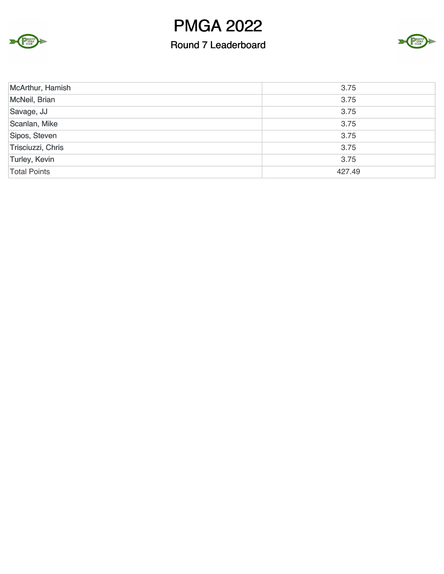



| McArthur, Hamish    | 3.75   |
|---------------------|--------|
| McNeil, Brian       | 3.75   |
| Savage, JJ          | 3.75   |
| Scanlan, Mike       | 3.75   |
| Sipos, Steven       | 3.75   |
| Trisciuzzi, Chris   | 3.75   |
| Turley, Kevin       | 3.75   |
| <b>Total Points</b> | 427.49 |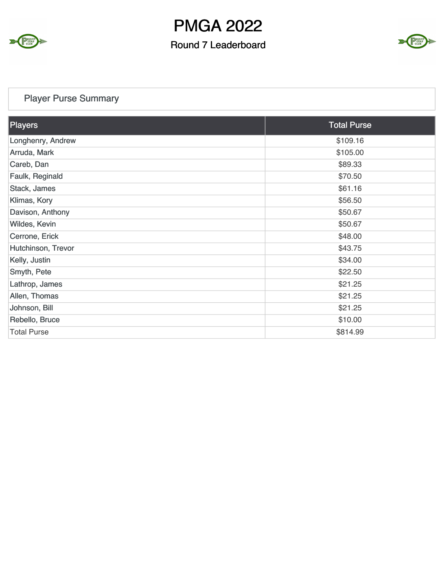

#### Round 7 Leaderboard



### Player Purse Summary

| Players            | <b>Total Purse</b> |
|--------------------|--------------------|
| Longhenry, Andrew  | \$109.16           |
| Arruda, Mark       | \$105.00           |
| Careb, Dan         | \$89.33            |
| Faulk, Reginald    | \$70.50            |
| Stack, James       | \$61.16            |
| Klimas, Kory       | \$56.50            |
| Davison, Anthony   | \$50.67            |
| Wildes, Kevin      | \$50.67            |
| Cerrone, Erick     | \$48.00            |
| Hutchinson, Trevor | \$43.75            |
| Kelly, Justin      | \$34.00            |
| Smyth, Pete        | \$22.50            |
| Lathrop, James     | \$21.25            |
| Allen, Thomas      | \$21.25            |
| Johnson, Bill      | \$21.25            |
| Rebello, Bruce     | \$10.00            |
| <b>Total Purse</b> | \$814.99           |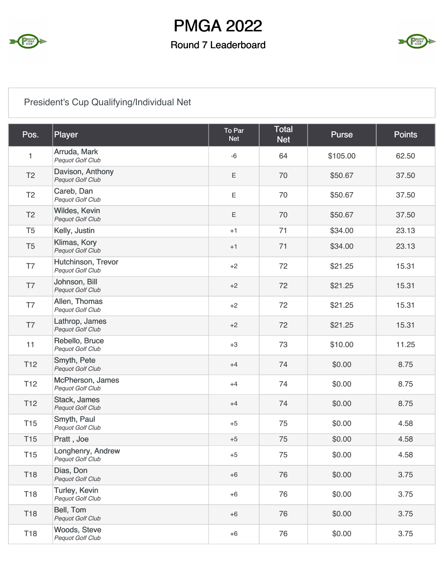

#### Round 7 Leaderboard



### President's Cup Qualifying/Individual Net

| Pos.                    | Player                                       | To Par<br><b>Net</b> | <b>Total</b><br><b>Net</b> | <b>Purse</b> | <b>Points</b> |
|-------------------------|----------------------------------------------|----------------------|----------------------------|--------------|---------------|
| 1                       | Arruda, Mark<br>Pequot Golf Club             | $-6$                 | 64                         | \$105.00     | 62.50         |
| T <sub>2</sub>          | Davison, Anthony<br>Pequot Golf Club         | E                    | 70                         | \$50.67      | 37.50         |
| T <sub>2</sub>          | Careb, Dan<br>Pequot Golf Club               | E                    | 70                         | \$50.67      | 37.50         |
| T <sub>2</sub>          | Wildes, Kevin<br>Pequot Golf Club            | Ε                    | 70                         | \$50.67      | 37.50         |
| T <sub>5</sub>          | Kelly, Justin                                | $+1$                 | 71                         | \$34.00      | 23.13         |
| T <sub>5</sub>          | Klimas, Kory<br>Pequot Golf Club             | $+1$                 | 71                         | \$34.00      | 23.13         |
| T7                      | Hutchinson, Trevor<br>Pequot Golf Club       | $+2$                 | 72                         | \$21.25      | 15.31         |
| $\mathsf{T} \mathsf{T}$ | Johnson, Bill<br>Pequot Golf Club            | $+2$                 | 72                         | \$21.25      | 15.31         |
| T7                      | Allen, Thomas<br>Pequot Golf Club            | $+2$                 | 72                         | \$21.25      | 15.31         |
| T7                      | Lathrop, James<br>Pequot Golf Club           | $+2$                 | 72                         | \$21.25      | 15.31         |
| 11                      | Rebello, Bruce<br>Pequot Golf Club           | $+3$                 | 73                         | \$10.00      | 11.25         |
| T <sub>12</sub>         | Smyth, Pete<br>Pequot Golf Club              | $+4$                 | 74                         | \$0.00       | 8.75          |
| T <sub>12</sub>         | McPherson, James<br>Pequot Golf Club         | $+4$                 | 74                         | \$0.00       | 8.75          |
| T <sub>12</sub>         | Stack, James<br>Pequot Golf Club             | $+4$                 | 74                         | \$0.00       | 8.75          |
| <b>T15</b>              | Smyth, Paul<br>Pequot Golf Club              | $+5$                 | 75                         | \$0.00       | 4.58          |
| <b>T15</b>              | Pratt, Joe                                   | $+5$                 | 75                         | \$0.00       | 4.58          |
| T <sub>15</sub>         | Longhenry, Andrew<br><b>Pequot Golf Club</b> | $+5$                 | 75                         | \$0.00       | 4.58          |
| T18                     | Dias, Don<br>Pequot Golf Club                | $+6$                 | 76                         | \$0.00       | 3.75          |
| T18                     | <b>Turley, Kevin</b><br>Pequot Golf Club     | $+6$                 | 76                         | \$0.00       | 3.75          |
| T18                     | Bell, Tom<br>Pequot Golf Club                | $+6$                 | 76                         | \$0.00       | 3.75          |
| T18                     | <b>Woods, Steve</b><br>Pequot Golf Club      | $+6$                 | 76                         | \$0.00       | 3.75          |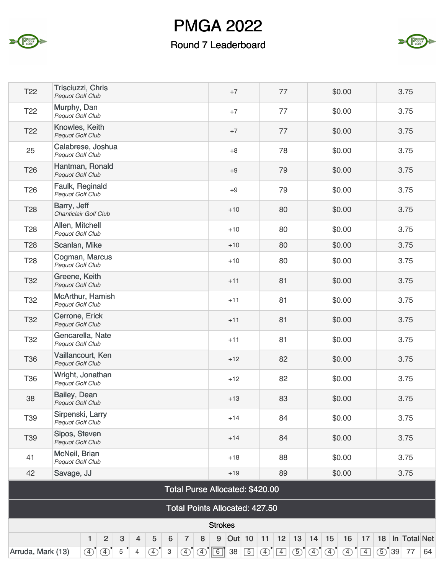



| T <sub>22</sub>   | Trisciuzzi, Chris<br>Pequot Golf Club                                                                  | $+7$                                  | 77                      | \$0.00                                                                                                  | 3.75                 |
|-------------------|--------------------------------------------------------------------------------------------------------|---------------------------------------|-------------------------|---------------------------------------------------------------------------------------------------------|----------------------|
| T <sub>22</sub>   | Murphy, Dan<br>Pequot Golf Club                                                                        | $+7$                                  | 77                      | \$0.00                                                                                                  | 3.75                 |
| T <sub>22</sub>   | Knowles, Keith<br>Pequot Golf Club                                                                     | $+7$                                  | 77                      | \$0.00                                                                                                  | 3.75                 |
| 25                | Calabrese, Joshua<br>Pequot Golf Club                                                                  | $+8$                                  | 78                      | \$0.00                                                                                                  | 3.75                 |
| T <sub>26</sub>   | Hantman, Ronald<br>Pequot Golf Club                                                                    | $+9$                                  | 79                      | \$0.00                                                                                                  | 3.75                 |
| T <sub>26</sub>   | Faulk, Reginald<br>Pequot Golf Club                                                                    | $+9$                                  | 79                      | \$0.00                                                                                                  | 3.75                 |
| <b>T28</b>        | Barry, Jeff<br>Chanticlair Golf Club                                                                   | $+10$                                 | 80                      | \$0.00                                                                                                  | 3.75                 |
| T <sub>28</sub>   | Allen, Mitchell<br>Pequot Golf Club                                                                    | $+10$                                 | 80                      | \$0.00                                                                                                  | 3.75                 |
| T <sub>28</sub>   | Scanlan, Mike                                                                                          | $+10$                                 | 80                      | \$0.00                                                                                                  | 3.75                 |
| T <sub>28</sub>   | Cogman, Marcus<br>Pequot Golf Club                                                                     | $+10$                                 | 80                      | \$0.00                                                                                                  | 3.75                 |
| T <sub>32</sub>   | Greene, Keith<br>Pequot Golf Club                                                                      | $+11$                                 | 81                      | \$0.00                                                                                                  | 3.75                 |
| T <sub>32</sub>   | McArthur, Hamish<br>Pequot Golf Club                                                                   | $+11$                                 | 81                      | \$0.00                                                                                                  | 3.75                 |
| T32               | Cerrone, Erick<br>Pequot Golf Club                                                                     | $+11$                                 | 81                      | \$0.00                                                                                                  | 3.75                 |
| T32               | Gencarella, Nate<br>Pequot Golf Club                                                                   | $+11$                                 | 81                      | \$0.00                                                                                                  | 3.75                 |
| <b>T36</b>        | Vaillancourt, Ken<br>Pequot Golf Club                                                                  | $+12$                                 | 82                      | \$0.00                                                                                                  | 3.75                 |
| T36               | Wright, Jonathan<br>Pequot Golf Club                                                                   | $+12$                                 | 82                      | \$0.00                                                                                                  | 3.75                 |
| 38                | Bailey, Dean<br>Pequot Golf Club                                                                       | $+13$                                 | 83                      | \$0.00                                                                                                  | 3.75                 |
| T39               | Sirpenski, Larry<br>Pequot Golf Club                                                                   | $+14$                                 | 84                      | \$0.00                                                                                                  | 3.75                 |
| T39               | Sipos, Steven<br><b>Pequot Golf Club</b>                                                               | $+14$                                 | 84                      | \$0.00                                                                                                  | 3.75                 |
| 41                | McNeil, Brian<br>Pequot Golf Club                                                                      | $+18$                                 | 88                      | \$0.00                                                                                                  | 3.75                 |
| 42                | Savage, JJ                                                                                             | $+19$                                 | 89                      | \$0.00                                                                                                  | 3.75                 |
|                   |                                                                                                        | Total Purse Allocated: \$420.00       |                         |                                                                                                         |                      |
|                   |                                                                                                        | <b>Total Points Allocated: 427.50</b> |                         |                                                                                                         |                      |
|                   |                                                                                                        | <b>Strokes</b>                        |                         |                                                                                                         |                      |
|                   | $\overline{2}$<br>3<br>$\overline{7}$<br>8<br>1<br>$\overline{4}$<br>$\overline{5}$<br>$6\phantom{1}6$ | Out 10 11<br>9                        | 13<br>12                | 14 <br>15<br>16<br>17                                                                                   | In Total Net<br>18   |
| Arruda, Mark (13) | $\circled{4}$<br>$\overline{(4)}$<br>5<br>$\left( \overline{4}\right)$<br>3<br>$\circ$<br>4            | $\circ$ $\circ$ $\circ$ $\circ$ 38 5  | $\circ$ $\circ$ $\circ$ | $\circled{5}^{\circ}$ $\circled{4}^{\circ}$ $\circled{4}^{\circ}$<br>$\left(4\right)^{1}\left[4\right]$ | $\times$ 39 77<br>64 |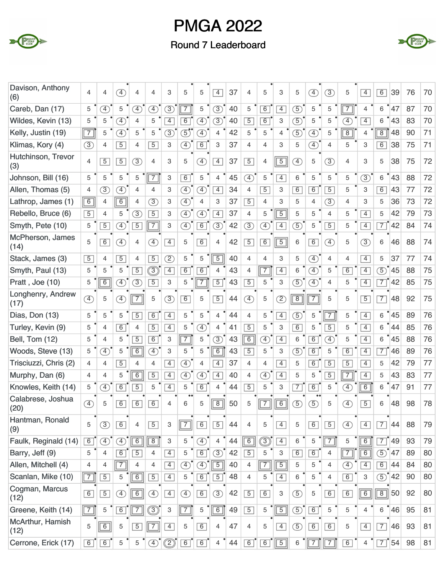



| Davison, Anthony<br>(6)   | 4              | 4              | Ŧ,                           | 4                            | 4                            | 3              | 5              | 5              | $\overline{4}$        | 37 | 4              | 5                            | 3                       | 5             | F)             | 3              | 5                            | $\overline{4}$ | 6               | 39 | 76 | 70 |
|---------------------------|----------------|----------------|------------------------------|------------------------------|------------------------------|----------------|----------------|----------------|-----------------------|----|----------------|------------------------------|-------------------------|---------------|----------------|----------------|------------------------------|----------------|-----------------|----|----|----|
| Careb, Dan (17)           | 5              | $\circledA$    | 5                            | $\left( \overline{4}\right)$ | $\bigoplus$                  | $\circled{3}$  | $\overline{7}$ | 5              | $\circled{3}$         | 40 | 5              | 6                            | $\overline{4}$          | (5)           | 5              | 5              | $\overline{7}$               | $\overline{4}$ | $\,6$           | 47 | 87 | 70 |
| Wildes, Kevin (13)        | 5              | 5              | $\left( \overline{4}\right)$ | 4                            | 5                            | $\overline{4}$ | $\overline{6}$ | $\circledA$    | $\circled{3}$         | 40 | $\overline{5}$ | $\overline{6}$               | 3                       | $\circled{5}$ | 5              | 5              | $\left( \overline{4}\right)$ | $\overline{4}$ | 6               | 43 | 83 | 70 |
| Kelly, Justin (19)        | $\sqrt{7}$     | 5              | F)                           | 5                            | 5                            | $\circled{3}$  | $\mathfrak{F}$ | $\mathcal{F}$  | 4                     | 42 | 5              | 5                            | $\overline{4}$          | $\circled{5}$ | $\circledA$    | 5              | $\overline{8}$               | $\overline{4}$ | $\overline{8}$  | 48 | 90 | 71 |
| Klimas, Kory (4)          | $\circled{3}$  | 4              | $\overline{5}$               | 4                            | $\overline{5}$               | 3              | ④              | 6              | 3                     | 37 | $\overline{4}$ | 4                            | 3                       | 5             | $\circled{4}$  | 4              | 5                            | 3              | $\overline{6}$  | 38 | 75 | 71 |
| Hutchinson, Trevor<br>(3) | 4              | $\overline{5}$ | $\overline{5}$               | (3)                          | 4                            | 3              | 5              | $\circled{4}$  | $\overline{4}$        | 37 | $\boxed{5}$    | 4                            | $\boxed{5}$             | A)            | 5              | $\circled{3}$  | 4                            | 3              | 5               | 38 | 75 | 72 |
| Johnson, Bill (16)        | 5              | 5              | 5                            | 5                            | $\overline{7}$               | 3              | 6              | 5              | 4                     | 45 | $\bigoplus$    | 5                            | $\overline{4}$          | 6             | 5              | 5              | 5                            | $\circled{3}$  | 6               | 43 | 88 | 72 |
| Allen, Thomas (5)         | 4              | $\circled{3}$  | $\left( \overline{4}\right)$ | 4                            | 4                            | 3              | $\circled{4}$  | $\mathcal{F}$  | $\overline{4}$        | 34 | $\overline{4}$ | $\overline{5}$               | 3                       | 6             | $\overline{6}$ | $\overline{5}$ | 5                            | 3              | 6               | 43 | 77 | 72 |
| Lathrop, James (1)        | 6              | 4              | $\overline{6}$               | 4                            | $\circled{3}$                | 3              | $\mathcal{F}$  | 4              | 3                     | 37 | $\overline{5}$ | 4                            | 3                       | 5             | 4              | (3)            | 4                            | 3              | 5               | 36 | 73 | 72 |
| Rebello, Bruce (6)        | $\overline{5}$ | $\overline{4}$ | 5                            | $\circled{3}$                | $\overline{5}$               | 3              | $\circled{4}$  | $\boxed{4}$    | $\overline{4}$        | 37 | 4              | 5                            | $\overline{5}$          | 5             | 5              | 4              | 5                            | $\overline{4}$ | 5               | 42 | 79 | 73 |
| Smyth, Pete (10)          | 5              | $\overline{5}$ | $\bigoplus$                  | $\sqrt{5}$                   | $\boxed{7}$                  | 3              | $\circled{4}$  | $\overline{6}$ | $\circled{3}$         | 42 | $\circled{3}$  | $\circled{4}$                | $\overline{4}$          | $\circledS$   | 5              | $\overline{5}$ | 5                            | $\overline{4}$ | $\overline{7}$  | 42 | 84 | 74 |
| McPherson, James<br>(14)  | 5              | $\overline{6}$ | $\mathcal{F}$                | $\overline{4}$               | $\left( \overline{4}\right)$ | $\overline{4}$ | 5              | $\overline{6}$ | 4                     | 42 | $\sqrt{5}$     | 6                            | $\overline{5}$          | 6             | $\overline{6}$ | $\circled{4}$  | 5                            | 3)             | 6               | 46 | 88 | 74 |
| Stack, James (3)          | $\overline{5}$ | 4              | $\overline{5}$               | $\overline{4}$               | $\overline{5}$               | $\overline{2}$ | 5              | 5              | $\overline{5}$        | 40 | $\overline{4}$ | $\overline{4}$               | 3                       | 5             | $\circled{4}$  | 4              | 4                            | $\overline{4}$ | 5               | 37 | 77 | 74 |
| Smyth, Paul (13)          | 5              | 5              | 5                            | $\overline{5}$               | ③                            | $\overline{4}$ | 6              | $\overline{6}$ | 4                     | 43 | 4              | $\overline{7}$               | $\overline{4}$          | 6             | $\bigcirc$     | 5              | $\overline{6}$               | $\overline{4}$ | $\circled{5}$   | 45 | 88 | 75 |
| Pratt, Joe (10)           | 5              | $\overline{6}$ | $\bigoplus$                  | $\circled{3}$                | $\overline{5}$               | 3              | 5              | $\overline{7}$ | $\overline{5}$        | 43 | $\overline{5}$ | 5                            | 3                       | (5)           | $\circled{4}$  | 4              | 5                            | $\overline{4}$ | $\overline{7}$  | 42 | 85 | 75 |
| Longhenry, Andrew<br>(17) | $\circled{4}$  | 5              | Ŧ,                           | $\boxed{7}$                  | 5                            | $\circled{3}$  | 6              | 5              | $\overline{5}$        | 44 | ④              | 5                            | $\mathcal{D}$           | $\boxed{8}$   | $\overline{7}$ | 5              | 5                            | $\overline{5}$ | $\overline{7}$  | 48 | 92 | 75 |
| Dias, Don (13)            | 5              | 5              | 5                            | $\overline{5}$               | $\overline{6}$               | $\overline{4}$ | 5              | 5              | 4                     | 44 | $\overline{4}$ | 5                            | $\overline{4}$          | (5)           | 5              | $\overline{7}$ | 5                            | $\overline{4}$ | 6               | 45 | 89 | 76 |
| Turley, Kevin (9)         | 5              | 4              | 6                            | 4                            | $\overline{5}$               | $\overline{4}$ | 5              | A)             | 4                     | 41 | $\overline{5}$ | 5                            | 3                       | 6             | 5              | $\overline{5}$ | 5                            | $\overline{4}$ | 6               | 44 | 85 | 76 |
| Bell, Tom (12)            | 5              | 4              | 5                            | $\overline{5}$               | 6                            | 3              | $\overline{7}$ | 5              | $\circled{3}$         | 43 | $\overline{6}$ | $\mathcal{F}$                | $\overline{4}$          | 6             | $\overline{6}$ | $\circled{4}$  | 5                            | $\overline{4}$ | 6               | 45 | 88 | 76 |
| Woods, Steve (13)         | 5              | F)             | 5                            | $\overline{6}$               | F)                           | 3              | 5              | 5              | $\overline{6}$        | 43 | $\overline{5}$ | 5                            | 3                       | $\circledS$   | $\overline{6}$ | 5              | $\overline{6}$               | $\overline{4}$ | $\overline{7}$  | 46 | 89 | 76 |
| Trisciuzzi, Chris (2)     | $\overline{4}$ | 4              | $\overline{5}$               | 4                            | 4                            | $\overline{4}$ | $\mathcal{F}$  | 4              | $\overline{4}$        | 37 | 4              | 4                            | $\overline{4}$          | 5             | $\overline{6}$ | $\overline{5}$ | $\overline{5}$               | $\overline{4}$ | 5               | 42 | 79 | 77 |
| Murphy, Dan (6)           | 4              | 4              | 5                            | $\overline{6}$               | $\overline{5}$               | $\overline{4}$ | A)             | $\bigoplus$    | $\overline{4}$        | 40 | 4              | $\left( \overline{4}\right)$ | $\overline{4}$          | 5             | 5              | $\overline{5}$ | $\overline{7}$               | $\overline{4}$ | 5               | 43 | 83 | 77 |
| Knowles, Keith (14)       | 5              | F)             | $\overline{6}$               | $\overline{5}$               | 5                            | $\overline{4}$ | 5              | $\overline{6}$ | 4                     | 44 | $\overline{5}$ | 5                            | 3                       | 7             | $\overline{6}$ | 5              | $\left( \overline{4}\right)$ | $\overline{6}$ | 6               | 47 | 91 | 77 |
| Calabrese, Joshua<br>(20) | $\overline{4}$ | 5              | $\overline{6}$               | $\overline{6}$               | $\overline{6}$               | 4              | 6              | 5              | $\overline{8}$<br>$-$ | 50 | 5              | $\overline{7}$<br>المسكا     | $\overline{6}$<br>نصحار | $\mathcal{F}$ | (5             | 5              | $\overline{4}$               | $\overline{5}$ | 6               | 48 | 98 | 78 |
| Hantman, Ronald<br>(9)    | 5              | (3)            | $\boxed{6}$                  | $\overline{4}$               | $\boxed{5}$                  | 3              | $\boxed{7}$    | 6              | $\boxed{5}$           | 44 | $\overline{4}$ | 5                            | $\overline{4}$          | 5             | 6              | $\boxed{5}$    | $\circled{4}$                | $\boxed{4}$    | $\vert 7 \vert$ | 44 | 88 | 79 |
| Faulk, Reginald (14)      | 6              | $\circled{4}$  | $\textcircled{4}$            | $\boxed{6}$                  | $\overline{8}$               | 3              | 5              | $\circled{4}$  | $\overline{4}$        | 44 | $\overline{6}$ | $\widehat{\mathbb{E}}$       | $\overline{4}$          | 6             | 5              | $\boxed{7}$    | 5                            | $\sqrt{6}$     | $\overline{7}$  | 49 | 93 | 79 |
| Barry, Jeff (9)           | 5              | 4              | $\boxed{6}$                  | $\overline{5}$               | 4                            | $\overline{4}$ | 5              | 6              | $\circled{3}$         | 42 | $\sqrt{5}$     | 5                            | 3                       | 6             | $\overline{6}$ | 4              | $\sqrt{7}$                   | 6              | $\circled{5}$   | 47 | 89 | 80 |
| Allen, Mitchell (4)       | 4              | 4              | $\boxed{7}$                  | 4                            | 4                            | $\overline{4}$ | $\circled{4}$  | $\circledA$    | $\overline{5}$        | 40 | $\overline{4}$ | $\sqrt{7}$                   | $\overline{5}$          | 5             | 5              | $\overline{4}$ | Ð                            | $\overline{4}$ | 6               | 44 | 84 | 80 |
| Scanlan, Mike (10)        | $\boxed{7}$    | $\overline{5}$ | 5                            | 6                            | $\overline{5}$               | $\overline{4}$ | 5              | 6              | $\overline{5}$        | 48 | $\overline{4}$ | 5                            | $\overline{4}$          | $6\,$         | 5              | $\overline{4}$ | 6                            | 3              | $\circledS$     | 42 | 90 | 80 |
| Cogman, Marcus<br>(12)    | 6              | $\overline{5}$ | ④                            | $\boxed{6}$                  | ④                            | $\overline{4}$ | ④              | 6              | $\circled{3}$         | 42 | $\boxed{5}$    | $\overline{6}$               | 3                       | $\circled{5}$ | 5              | 6              | 6                            | $\boxed{6}$    | $\overline{8}$  | 50 | 92 | 80 |
| Greene, Keith (14)        | $\sqrt{7}$     | 5              | 6                            | $\sqrt{7}$                   | $\circledS$                  | 3              | $\overline{7}$ | 5              | $\boxed{6}$           | 49 | $\boxed{5}$    | 5                            | $\sqrt{5}$              | $\circled{5}$ | 6              | 5              | 5                            | 4              | 6               | 46 | 95 | 81 |
| McArthur, Hamish<br>(12)  | 5              | $\overline{6}$ | 5                            | $\boxed{5}$                  | $\sqrt{7}$                   | $\overline{4}$ | 5              | 6              | $\overline{4}$        | 47 | $\overline{4}$ | 5                            | $\overline{4}$          | $\circled{5}$ | 6              | $\boxed{6}$    | 5                            | $\overline{4}$ | $\overline{7}$  | 46 | 93 | 81 |
| Cerrone, Erick (17)       | 6              | 6              | 5                            | 5                            | $\circled{4}$                | $\circledcirc$ | $\overline{6}$ | $\boxed{6}$    | $\overline{4}$        | 44 | $\boxed{6}$    | $\overline{6}$               | $\boxed{5}$             | 6             | $\sqrt{7}$     | $\sqrt{7}$     | 6                            | 4              | $\overline{7}$  | 54 | 98 | 81 |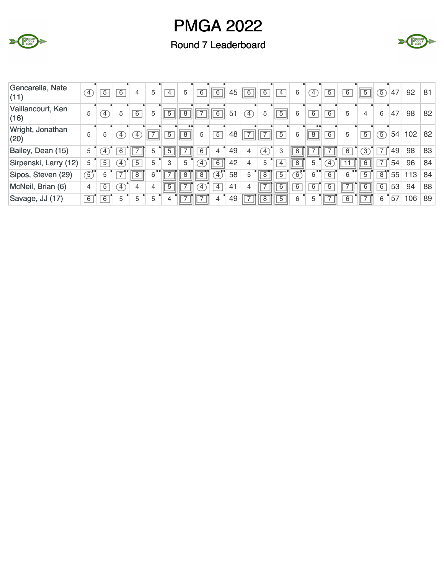





| Gencarella, Nate<br>(11)  | T                | $\overline{5}$ | 6                 | 4                | 5              | $\overline{4}$ | 5                        | 6              | 6              | 45 | $\sqrt{6}$     | 6              | $\overline{4}$ | 6              | $\sim$          | $\overline{5}$ | 6                        | $\overline{5}$ | $\boxed{5}$    | 47 | 92  | 81 |
|---------------------------|------------------|----------------|-------------------|------------------|----------------|----------------|--------------------------|----------------|----------------|----|----------------|----------------|----------------|----------------|-----------------|----------------|--------------------------|----------------|----------------|----|-----|----|
| Vaillancourt, Ken<br>(16) | 5                | $\overline{4}$ | 5                 | 6                | 5              | $\overline{5}$ | $\overline{8}$           | $\overline{7}$ | $\overline{6}$ | 51 | $\boxed{4}$    | 5              | $\overline{5}$ | 6              | 6               | 6              | 5                        | 4              | 6              | 47 | 98  | 82 |
| Wright, Jonathan<br>(20)  | 5                | 5              | $\left( 4\right)$ | $\left(4\right)$ | $\overline{7}$ | $\overline{5}$ | $\overline{8}$           | 5              | $\overline{5}$ | 48 | $\overline{ }$ | 7              | $\overline{5}$ | 6              | $^{\circ}$<br>8 | $\overline{6}$ | 5                        | 5              | $\boxed{5}$    | 54 | 102 | 82 |
| Bailey, Dean (15)         | 5                | $\overline{4}$ | 6                 | ⇁                | 5              | $\overline{5}$ | ⇁                        | 6              | 4              | 49 | 4              | $\boxed{4}$    | З              | $\overline{8}$ |                 | ⇁              | 6                        | $\overline{3}$ | $\overline{7}$ | 49 | 98  | 83 |
| Sirpenski, Larry (12)     | 5                | $\overline{5}$ | $\left(4\right)$  | $\overline{5}$   | 5              | 3              | 5                        | $\boxed{4}$    | $\overline{6}$ | 42 | 4              | 5              | $\overline{4}$ | $\overline{8}$ | 5               | $\sqrt{4}$     |                          | 6              | $\overline{7}$ | 54 | 96  | 84 |
| Sipos, Steven (29)        | $\overline{(5)}$ | 5              | 7                 | $\boxed{8}$      | 6              | ⇁              |                          | $\overline{8}$ | $\mathcal{L}$  | 58 | 5              | $\overline{8}$ | $\overline{5}$ | $\sqrt{6}$     | 6               | 6              | 6                        | $\overline{5}$ | $\overline{8}$ | 55 | 113 | 84 |
| McNeil, Brian (6)         | 4                | $\overline{5}$ | $\mathcal{F}$     | 4                | 4              | $\overline{5}$ | ⇁                        | $\mathcal{F}$  | $\overline{4}$ | 41 | 4              | ⇁              | $\overline{6}$ | $\overline{6}$ | 6               | $\overline{5}$ | $\overline{\phantom{a}}$ | $\overline{6}$ | 6              | 53 | 94  | 88 |
| Savage, JJ (17)           | $\overline{6}$   | 6              | 5                 | 5                | 5              | 4              | $\overline{\phantom{a}}$ | 71             | $\overline{4}$ | 49 | ⇁              | 8              | $\overline{5}$ | 6              | 5               | $\overline{7}$ | 6                        | ⇁              | 6              | 57 | 106 | 89 |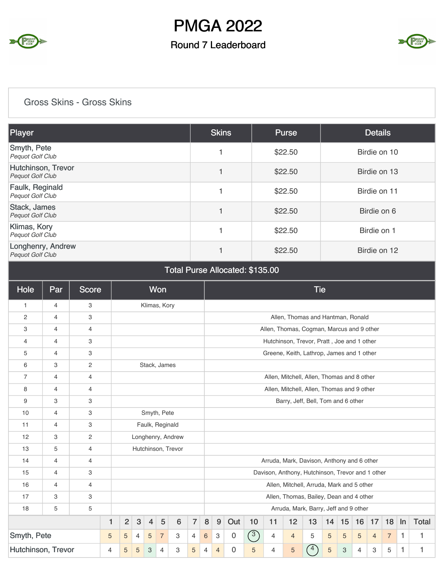

#### Round 7 Leaderboard



Gross Skins - Gross Skins

| Player                                        | <b>Skins</b> | <b>Purse</b> | <b>Details</b> |
|-----------------------------------------------|--------------|--------------|----------------|
| Smyth, Pete<br><b>Pequot Golf Club</b>        |              | \$22.50      | Birdie on 10   |
| Hutchinson, Trevor<br><b>Pequot Golf Club</b> |              | \$22.50      | Birdie on 13   |
| Faulk, Reginald<br>Pequot Golf Club           |              | \$22.50      | Birdie on 11   |
| Stack, James<br><b>Pequot Golf Club</b>       |              | \$22.50      | Birdie on 6    |
| Klimas, Kory<br><b>Pequot Golf Club</b>       |              | \$22.50      | Birdie on 1    |
| Longhenry, Andrew<br><b>Pequot Golf Club</b>  |              | \$22.50      | Birdie on 12   |

| Total Purse Allocated: \$135.00 |  |  |  |  |
|---------------------------------|--|--|--|--|
|---------------------------------|--|--|--|--|

| Hole               | Par | <b>Score</b> |   |                |              |                | <b>Won</b>      |                    |                |                                         |                |                |                |                |                | <b>Tie</b>                                       |    |    |                |                |                |    |              |  |
|--------------------|-----|--------------|---|----------------|--------------|----------------|-----------------|--------------------|----------------|-----------------------------------------|----------------|----------------|----------------|----------------|----------------|--------------------------------------------------|----|----|----------------|----------------|----------------|----|--------------|--|
| $\mathbf{1}$       | 4   | 3            |   |                |              |                | Klimas, Kory    |                    |                |                                         |                |                |                |                |                |                                                  |    |    |                |                |                |    |              |  |
| $\overline{c}$     | 4   | 3            |   |                |              |                |                 |                    |                |                                         |                |                |                |                |                | Allen, Thomas and Hantman, Ronald                |    |    |                |                |                |    |              |  |
| 3                  | 4   | 4            |   |                |              |                |                 |                    |                |                                         |                |                |                |                |                | Allen, Thomas, Cogman, Marcus and 9 other        |    |    |                |                |                |    |              |  |
| 4                  | 4   | 3            |   |                |              |                |                 |                    |                |                                         |                |                |                |                |                | Hutchinson, Trevor, Pratt, Joe and 1 other       |    |    |                |                |                |    |              |  |
| 5                  | 4   | 3            |   |                |              |                |                 |                    |                |                                         |                |                |                |                |                | Greene, Keith, Lathrop, James and 1 other        |    |    |                |                |                |    |              |  |
| 6                  | 3   | 2            |   |                |              |                | Stack, James    |                    |                |                                         |                |                |                |                |                |                                                  |    |    |                |                |                |    |              |  |
| $\overline{7}$     | 4   | 4            |   |                |              |                |                 |                    |                |                                         |                |                |                |                |                | Allen, Mitchell, Allen, Thomas and 8 other       |    |    |                |                |                |    |              |  |
| 8                  | 4   | 4            |   |                |              |                |                 |                    |                |                                         |                |                |                |                |                | Allen, Mitchell, Allen, Thomas and 9 other       |    |    |                |                |                |    |              |  |
| 9                  | 3   | 3            |   |                |              |                |                 |                    |                | Barry, Jeff, Bell, Tom and 6 other      |                |                |                |                |                |                                                  |    |    |                |                |                |    |              |  |
| 10                 | 4   | 3            |   |                |              |                | Smyth, Pete     |                    |                |                                         |                |                |                |                |                |                                                  |    |    |                |                |                |    |              |  |
| 11                 | 4   | 3            |   |                |              |                | Faulk, Reginald |                    |                |                                         |                |                |                |                |                |                                                  |    |    |                |                |                |    |              |  |
| 12                 | 3   | 2            |   |                |              |                |                 | Longhenry, Andrew  |                |                                         |                |                |                |                |                |                                                  |    |    |                |                |                |    |              |  |
| 13                 | 5   | 4            |   |                |              |                |                 | Hutchinson, Trevor |                |                                         |                |                |                |                |                |                                                  |    |    |                |                |                |    |              |  |
| 14                 | 4   | 4            |   |                |              |                |                 |                    |                |                                         |                |                |                |                |                | Arruda, Mark, Davison, Anthony and 6 other       |    |    |                |                |                |    |              |  |
| 15                 | 4   | 3            |   |                |              |                |                 |                    |                |                                         |                |                |                |                |                | Davison, Anthony, Hutchinson, Trevor and 1 other |    |    |                |                |                |    |              |  |
| 16                 | 4   | 4            |   |                |              |                |                 |                    |                |                                         |                |                |                |                |                | Allen, Mitchell, Arruda, Mark and 5 other        |    |    |                |                |                |    |              |  |
| 17                 | 3   | 3            |   |                |              |                |                 |                    |                | Allen, Thomas, Bailey, Dean and 4 other |                |                |                |                |                |                                                  |    |    |                |                |                |    |              |  |
| 18                 | 5   | 5            |   |                |              |                |                 |                    |                |                                         |                |                |                |                |                | Arruda, Mark, Barry, Jeff and 9 other            |    |    |                |                |                |    |              |  |
|                    |     |              | 1 | $\overline{2}$ | $\mathbf{3}$ | $\overline{4}$ | 5               | 6                  | $\overline{7}$ | $\bf 8$                                 | 9              | Out            | 10             | 11             | 12             | 13                                               | 14 | 15 | 16             | 17             | 18             | In | <b>Total</b> |  |
| Smyth, Pete        |     |              | 5 | 5              | 4            | 5              | $\overline{7}$  | 3                  | $\overline{4}$ | 6                                       | 3              | $\overline{0}$ | $\binom{3}{ }$ | 4              | $\overline{4}$ | 5                                                | 5  | 5  | 5              | $\overline{4}$ | $\overline{7}$ | 1  | 1            |  |
| Hutchinson, Trevor |     |              | 4 | 5              | 5            | 3              | $\overline{4}$  | 3                  | 5              | $\overline{4}$                          | $\overline{4}$ | $\Omega$       | 5              | $\overline{4}$ | 5              | 4                                                | 5  | 3  | $\overline{4}$ | 3              | 5              | 1  | 1            |  |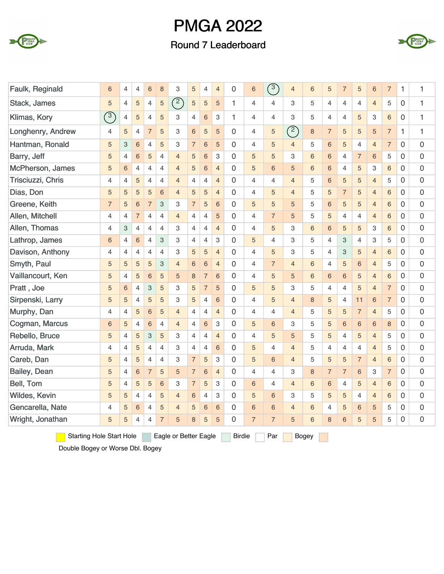

#### Round 7 Leaderboard



| Faulk, Reginald   | 6               | $\overline{4}$ | $\overline{4}$ | 6                         | 8              | 3              | 5                        | 4               | $\overline{4}$            | 0            | 6              | $\binom{3}{ }$ | $\overline{4}$ | 6              | 5              | $\overline{7}$            | 5               | 6                       | $\overline{7}$ | 1              | 1 |
|-------------------|-----------------|----------------|----------------|---------------------------|----------------|----------------|--------------------------|-----------------|---------------------------|--------------|----------------|----------------|----------------|----------------|----------------|---------------------------|-----------------|-------------------------|----------------|----------------|---|
| Stack, James      | 5               | $\overline{4}$ | 5              | 4                         | 5              | (2)            | $\overline{5}$           | 5               | 5                         | 1            | $\overline{4}$ | $\overline{4}$ | 3              | 5              | 4              | $\overline{4}$            | 4               | $\overline{4}$          | 5              | $\overline{0}$ | 1 |
| Klimas, Kory      | $\binom{3}{ }$  | 4              | 5              | $\overline{4}$            | 5              | 3              | 4                        | $\,$ 6 $\,$     | 3                         | 1            | 4              | $\overline{4}$ | 3              | 5              | 4              | 4                         | 5               | 3                       | 6              | $\mathbf 0$    | 1 |
| Longhenry, Andrew | 4               | 5              | $\overline{4}$ | $\overline{7}$            | 5              | 3              | $6\,$                    | 5               | 5                         | $\mathbf 0$  | 4              | 5              | (2)            | 8              | $\overline{7}$ | 5                         | 5               | 5                       | $\overline{7}$ | 1              | 1 |
| Hantman, Ronald   | 5               | 3              | 6              | $\overline{4}$            | 5              | 3              | $\overline{\mathcal{I}}$ | $\,$ 6 $\,$     | 5                         | $\mathbf{0}$ | 4              | 5              | $\overline{4}$ | 5              | 6              | 5                         | $\overline{4}$  | $\overline{4}$          | $\overline{7}$ | $\overline{0}$ | 0 |
| Barry, Jeff       | 5               | $\overline{4}$ | $\,6$          | 5                         | 4              | $\overline{4}$ | 5                        | $6\phantom{1}6$ | $\ensuremath{\mathsf{3}}$ | $\mathbf{0}$ | 5              | 5              | 3              | 6              | $6\,$          | $\overline{4}$            | $\overline{7}$  | 6                       | 5              | $\overline{0}$ | 0 |
| McPherson, James  | 5               | 6              | $\overline{4}$ | $\overline{4}$            | $\overline{4}$ | $\overline{4}$ | 5                        | $6\phantom{1}6$ | $\overline{4}$            | $\mathbf{0}$ | 5              | $\,6$          | 5              | 6              | 6              | 4                         | 5               | 3                       | 6              | $\mathbf 0$    | 0 |
| Trisciuzzi, Chris | $\overline{4}$  | $\overline{4}$ | 5              | $\overline{4}$            | $\overline{4}$ | $\overline{4}$ | 4                        | $\overline{4}$  | $\overline{4}$            | $\Omega$     | 4              | $\overline{4}$ | $\overline{4}$ | 5              | 6              | 5                         | 5               | $\overline{4}$          | 5              | $\mathbf{0}$   | 0 |
| Dias, Don         | 5               | 5              | 5              | 5                         | 6              | $\overline{4}$ | 5                        | 5               | $\overline{4}$            | 0            | 4              | 5              | $\overline{4}$ | 5              | 5              | $\overline{7}$            | 5               | $\overline{4}$          | 6              | $\overline{0}$ | 0 |
| Greene, Keith     | $\overline{7}$  | 5              | $\,6\,$        | $\overline{7}$            | 3              | 3              | $\overline{7}$           | 5               | $6\phantom{1}6$           | $\mathbf 0$  | 5              | 5              | 5              | 5              | $\,$ 6 $\,$    | 5                         | 5               | $\overline{4}$          | 6              | $\mathbf 0$    | 0 |
| Allen, Mitchell   | $\overline{4}$  | $\overline{4}$ | $\overline{7}$ | 4                         | $\overline{4}$ | $\overline{4}$ | $\overline{4}$           | $\overline{4}$  | 5                         | $\mathbf{0}$ | 4              | $\overline{7}$ | 5              | 5              | 5              | 4                         | $\overline{4}$  | $\overline{4}$          | 6              | $\mathbf 0$    | 0 |
| Allen, Thomas     | $\overline{4}$  | 3              | $\overline{4}$ | $\overline{4}$            | $\overline{4}$ | 3              | 4                        | $\overline{4}$  | $\overline{4}$            | $\mathbf{0}$ | 4              | 5              | 3              | 6              | $6\phantom{1}$ | 5                         | 5               | 3                       | 6              | $\mathbf 0$    | 0 |
| Lathrop, James    | 6               | $\overline{4}$ | $6\phantom{1}$ | $\overline{4}$            | 3              | 3              | $\overline{4}$           | $\overline{4}$  | 3                         | $\Omega$     | 5              | $\overline{4}$ | 3              | 5              | $\overline{4}$ | 3                         | $\overline{4}$  | 3                       | 5              | $\mathbf 0$    | 0 |
| Davison, Anthony  | $\overline{4}$  | $\overline{4}$ | $\overline{4}$ | $\overline{4}$            | 4              | 3              | 5                        | 5               | $\overline{4}$            | $\Omega$     | 4              | 5              | 3              | 5              | $\overline{4}$ | $\ensuremath{\mathsf{3}}$ | 5               | $\overline{4}$          | 6              | $\mathbf 0$    | 0 |
| Smyth, Paul       | 5               | 5              | $\overline{5}$ | 5                         | 3              | $\overline{4}$ | $6\phantom{a}$           | $6\phantom{1}6$ | $\overline{4}$            | 0            | 4              | $\overline{7}$ | $\overline{4}$ | $6\phantom{a}$ | $\overline{4}$ | 5                         | $6\phantom{1}6$ | $\overline{\mathbf{4}}$ | 5              | 0              | 0 |
| Vaillancourt, Ken | 5               | $\overline{4}$ | 5              | $6\phantom{1}6$           | 5              | 5              | 8                        | $\overline{7}$  | 6                         | $\Omega$     | 4              | 5              | 5              | 6              | 6              | 6                         | 5               | $\overline{4}$          | 6              | $\mathbf 0$    | 0 |
| Pratt, Joe        | 5               | 6              | 4              | $\ensuremath{\mathsf{3}}$ | 5              | 3              | 5                        | $\overline{7}$  | 5                         | $\mathbf{0}$ | 5              | 5              | 3              | 5              | 4              | 4                         | 5               | 4                       | $\overline{7}$ | $\mathbf 0$    | 0 |
| Sirpenski, Larry  | 5               | 5              | $\overline{4}$ | 5                         | 5              | 3              | 5                        | $\overline{4}$  | $6\phantom{1}$            | $\Omega$     | 4              | 5              | $\overline{4}$ | 8              | 5              | $\overline{4}$            | 11              | 6                       | $\overline{7}$ | $\mathbf{0}$   | 0 |
| Murphy, Dan       | $\overline{4}$  | $\overline{4}$ | 5              | 6                         | 5              | $\overline{4}$ | $\overline{4}$           | 4               | $\overline{4}$            | $\Omega$     | 4              | $\overline{4}$ | $\overline{4}$ | 5              | 5              | 5                         | $\overline{7}$  | $\overline{4}$          | 5              | $\mathbf 0$    | 0 |
| Cogman, Marcus    | $6\phantom{1}6$ | 5              | $\overline{4}$ | $6\phantom{1}6$           | $\overline{4}$ | $\overline{4}$ | $\overline{4}$           | 6               | 3                         | $\Omega$     | 5              | $\,$ 6 $\,$    | 3              | 5              | 5              | 6                         | $6\phantom{1}6$ | 6                       | 8              | $\mathbf 0$    | 0 |
| Rebello, Bruce    | 5               | $\overline{4}$ | 5              | 3                         | 5              | 3              | $\overline{4}$           | $\overline{4}$  | $\overline{4}$            | $\mathbf 0$  | 4              | 5              | 5              | 5              | 5              | $\overline{4}$            | 5               | $\overline{4}$          | 5              | $\mathbf 0$    | 0 |
| Arruda, Mark      | $\overline{4}$  | $\overline{4}$ | $\overline{5}$ | $\overline{4}$            | 4              | 3              | 4                        | $\overline{4}$  | $\,6$                     | $\mathbf 0$  | 5              | $\overline{4}$ | $\overline{4}$ | 5              | 4              | 4                         | $\overline{4}$  | $\overline{4}$          | 5              | $\mathbf 0$    | 0 |
| Careb, Dan        | 5               | $\overline{4}$ | 5              | $\overline{4}$            | 4              | 3              | $\overline{7}$           | 5               | 3                         | $\mathbf 0$  | 5              | $\,6$          | $\overline{4}$ | 5              | 5              | 5                         | $\overline{7}$  | $\overline{4}$          | 6              | $\mathbf 0$    | 0 |
| Bailey, Dean      | 5               | $\overline{4}$ | $\,6$          | $\overline{7}$            | 5              | 5              | $\overline{7}$           | 6               | $\overline{4}$            | $\mathbf 0$  | 4              | $\overline{4}$ | 3              | 8              | $\overline{7}$ | $\overline{7}$            | 6               | 3                       | $\overline{7}$ | $\mathbf 0$    | 0 |
| Bell, Tom         | 5               | $\overline{4}$ | 5              | 5                         | $6\phantom{a}$ | 3              | $\overline{7}$           | 5               | 3                         | $\Omega$     | 6              | $\overline{4}$ | $\overline{4}$ | 6              | 6              | $\overline{4}$            | 5               | $\overline{4}$          | 6              | $\mathbf{0}$   | 0 |
| Wildes, Kevin     | 5               | 5              | $\overline{4}$ | $\overline{4}$            | 5              | $\overline{4}$ | $6\phantom{1}$           | $\overline{4}$  | 3                         | 0            | 5              | 6              | 3              | 5              | 5              | 5                         | $\overline{4}$  | $\overline{4}$          | 6              | $\overline{0}$ | 0 |
| Gencarella, Nate  | $\overline{4}$  | 5              | $6\phantom{1}$ | $\overline{4}$            | 5              | $\overline{4}$ | 5                        | $6\phantom{1}6$ | $6\phantom{1}6$           | $\mathbf 0$  | 6              | $\,6\,$        | $\overline{4}$ | 6              | $\overline{4}$ | 5                         | $6\phantom{1}6$ | 5                       | 5              | $\mathbf 0$    | 0 |
| Wright, Jonathan  | 5               | 5              | $\overline{4}$ | $\overline{4}$            | $\overline{7}$ | 5              | 8                        | 5               | 5                         | $\Omega$     | $\overline{7}$ | $\overline{7}$ | 5              | 6              | 8              | 6                         | 5               | 5                       | 5              | $\mathbf{0}$   | 0 |

Starting Hole Start Hole Eagle or Better Eagle Birdie Par Bogey

Double Bogey or Worse Dbl. Bogey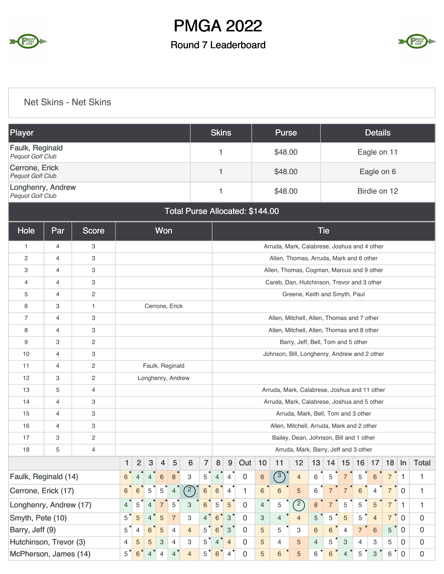

#### Round 7 Leaderboard



#### Net Skins - Net Skins

| <b>Skins</b><br><b>Details</b><br><b>Purse</b> |                |              |                                                                    |                |                   |                |                |                |                |                                              |                |                                              |                 |                |                                             |                |                |                |                |                |                 |                |              |  |  |
|------------------------------------------------|----------------|--------------|--------------------------------------------------------------------|----------------|-------------------|----------------|----------------|----------------|----------------|----------------------------------------------|----------------|----------------------------------------------|-----------------|----------------|---------------------------------------------|----------------|----------------|----------------|----------------|----------------|-----------------|----------------|--------------|--|--|
| Player                                         |                |              |                                                                    |                |                   |                |                |                |                |                                              |                |                                              |                 |                |                                             |                |                |                |                |                |                 |                |              |  |  |
| Faulk, Reginald<br>Pequot Golf Club            |                |              |                                                                    |                |                   |                |                |                |                | 1                                            |                |                                              |                 | \$48.00        |                                             |                |                |                |                | Eagle on 11    |                 |                |              |  |  |
| Cerrone, Erick<br>Pequot Golf Club             |                |              |                                                                    |                |                   |                |                |                |                | $\mathbf{1}$                                 |                |                                              |                 | \$48.00        |                                             |                |                |                |                | Eagle on 6     |                 |                |              |  |  |
| Longhenry, Andrew<br>Pequot Golf Club          |                |              |                                                                    |                |                   |                |                |                |                | 1                                            |                |                                              |                 | \$48.00        |                                             |                |                |                |                | Birdie on 12   |                 |                |              |  |  |
|                                                |                |              |                                                                    |                |                   |                |                |                |                |                                              |                | Total Purse Allocated: \$144.00              |                 |                |                                             |                |                |                |                |                |                 |                |              |  |  |
| Hole                                           | Par            | Score        |                                                                    |                |                   | Won            |                |                |                |                                              |                |                                              |                 |                |                                             |                | <b>Tie</b>     |                |                |                |                 |                |              |  |  |
| $\mathbf{1}$                                   | 4              | 3            |                                                                    |                |                   |                |                |                |                |                                              |                |                                              |                 |                | Arruda, Mark, Calabrese, Joshua and 4 other |                |                |                |                |                |                 |                |              |  |  |
| 2                                              | 4              | 3            |                                                                    |                |                   |                |                |                |                |                                              |                |                                              |                 |                | Allen, Thomas, Arruda, Mark and 6 other     |                |                |                |                |                |                 |                |              |  |  |
| 3                                              | 4              | 3            |                                                                    |                |                   |                |                |                |                |                                              |                |                                              |                 |                | Allen, Thomas, Cogman, Marcus and 9 other   |                |                |                |                |                |                 |                |              |  |  |
| 4                                              | $\overline{4}$ | 3            |                                                                    |                |                   |                |                |                |                |                                              |                |                                              |                 |                | Careb, Dan, Hutchinson, Trevor and 3 other  |                |                |                |                |                |                 |                |              |  |  |
| 5                                              | 4              | $\mathbf{2}$ |                                                                    |                |                   |                |                |                |                |                                              |                |                                              |                 |                | Greene, Keith and Smyth, Paul               |                |                |                |                |                |                 |                |              |  |  |
| 6                                              | 3              | $\mathbf{1}$ |                                                                    |                | Cerrone, Erick    |                |                |                |                |                                              |                |                                              |                 |                |                                             |                |                |                |                |                |                 |                |              |  |  |
| $\overline{7}$                                 | 4              | 3            |                                                                    |                |                   |                |                |                |                |                                              |                |                                              |                 |                | Allen, Mitchell, Allen, Thomas and 7 other  |                |                |                |                |                |                 |                |              |  |  |
| 8                                              | $\overline{4}$ | 3            |                                                                    |                |                   |                |                |                |                |                                              |                |                                              |                 |                | Allen, Mitchell, Allen, Thomas and 8 other  |                |                |                |                |                |                 |                |              |  |  |
| 9                                              | 3              | 2            |                                                                    |                |                   |                |                |                |                | Barry, Jeff, Bell, Tom and 5 other           |                |                                              |                 |                |                                             |                |                |                |                |                |                 |                |              |  |  |
| 10                                             | 4              | 3            |                                                                    |                |                   |                |                |                |                |                                              |                | Johnson, Bill, Longhenry, Andrew and 2 other |                 |                |                                             |                |                |                |                |                |                 |                |              |  |  |
| 11                                             | 4              | 2            |                                                                    |                | Faulk, Reginald   |                |                |                |                |                                              |                |                                              |                 |                |                                             |                |                |                |                |                |                 |                |              |  |  |
| 12                                             | 3              | 2            |                                                                    |                | Longhenry, Andrew |                |                |                |                |                                              |                |                                              |                 |                |                                             |                |                |                |                |                |                 |                |              |  |  |
| 13                                             | 5              | 4            |                                                                    |                |                   |                |                |                |                | Arruda, Mark, Calabrese, Joshua and 11 other |                |                                              |                 |                |                                             |                |                |                |                |                |                 |                |              |  |  |
| 14                                             | 4              | 3            |                                                                    |                |                   |                |                |                |                |                                              |                |                                              |                 |                | Arruda, Mark, Calabrese, Joshua and 5 other |                |                |                |                |                |                 |                |              |  |  |
| 15                                             | 4              | 3            |                                                                    |                |                   |                |                |                |                |                                              |                |                                              |                 |                | Arruda, Mark, Bell, Tom and 3 other         |                |                |                |                |                |                 |                |              |  |  |
| 16                                             | $\overline{4}$ | 3            |                                                                    |                |                   |                |                |                |                |                                              |                |                                              |                 |                | Allen, Mitchell, Arruda, Mark and 2 other   |                |                |                |                |                |                 |                |              |  |  |
| 17                                             | 3              | 2            |                                                                    |                |                   |                |                |                |                |                                              |                |                                              |                 |                | Bailey, Dean, Johnson, Bill and 1 other     |                |                |                |                |                |                 |                |              |  |  |
| 18                                             | 5              | 4            |                                                                    |                |                   |                |                |                |                | Arruda, Mark, Barry, Jeff and 3 other        |                |                                              |                 |                |                                             |                |                |                |                |                |                 |                |              |  |  |
|                                                |                |              | $\mathbf{1}$                                                       | $\overline{2}$ | 3                 | $\overline{4}$ | 5              | 6              | $\overline{7}$ | 8                                            | 9              | Out                                          | 10              | 11             | 12                                          | 13             |                | $14$ 15        | 16             | 17             | 18              | In             | <b>Total</b> |  |  |
| Faulk, Reginald (14)                           |                |              | 6                                                                  |                | 4                 | $\,$ 6 $\,$    | $\,$ 8 $\,$    | 3              | 5              | 4                                            | $\overline{4}$ | $\mathbf 0$                                  | $\,6\,$         | (3)            | $\overline{4}$                              | 6              | 5              | $\overline{7}$ | 5              | 6              | 7               | 1              | 1            |  |  |
| Cerrone, Erick (17)                            |                |              | (2)<br>5<br>5<br>6<br>$\overline{4}$<br>6<br>6                     |                |                   |                |                |                |                |                                              | 4              | 1                                            | $6\phantom{1}6$ | 6              | 5                                           | 6              | $\overline{7}$ | $\overline{7}$ | 6              | 4              | $\overline{7}$  | $\mathbf 0$    | 1            |  |  |
| Longhenry, Andrew (17)                         |                |              | 5<br>5<br>3<br>$\sqrt{6}$<br>4<br>$\overline{4}$<br>$\overline{7}$ |                |                   |                |                |                |                |                                              | $\sqrt{5}$     | $\mathbf 0$                                  | $\overline{4}$  | 5              | (2)                                         | $\bf{8}$       | $\overline{7}$ | 5              | 5              | 5              | $\overline{7}$  | $\mathbf{1}$   | $\mathbf{1}$ |  |  |
| Smyth, Pete (10)                               |                |              | 5                                                                  | $\sqrt{5}$     |                   | $\sqrt{5}$     | $\overline{7}$ | 3              | 4              | 6                                            | $\,$ 3 $\,$    | $\Omega$                                     | 3               | $\overline{4}$ | $\overline{4}$                              | 5              | 5              | 5              | 5              | $\overline{4}$ | $\overline{7}$  | $\mathbf 0$    | $\mathbf 0$  |  |  |
| Barry, Jeff (9)                                |                |              | 5                                                                  | $\overline{4}$ | 6                 | $\overline{5}$ | $\overline{4}$ | $\overline{4}$ | 5              | 6                                            | 3              | 0                                            | 5               | 5              | З                                           | 6              | 6              | $\overline{4}$ | $\overline{7}$ | 6              | $5\overline{)}$ | $\overline{0}$ | $\mathbf 0$  |  |  |
| Hutchinson, Trevor (3)                         |                |              | 4                                                                  | $\sqrt{5}$     | 5                 | 3              | $\overline{4}$ | 3              | 5              | 4                                            | $\overline{4}$ | 0                                            | 5               | 4              | 5                                           | $\overline{4}$ | 5              | 3              | 4              | 3              | 5               | 0              | $\mathbf 0$  |  |  |
| McPherson, James (14)                          |                |              | 5                                                                  | $\,6$          | 4                 | 4              | 4 <sup>°</sup> | $\overline{4}$ | $5^{\circ}$    | 6                                            | $\overline{4}$ | $\Omega$                                     | $\overline{5}$  | $6\phantom{1}$ | 5                                           | 6              | 6              | $\overline{4}$ | 5              | 3              | 6               | $\mathbf 0$    | $\mathbf 0$  |  |  |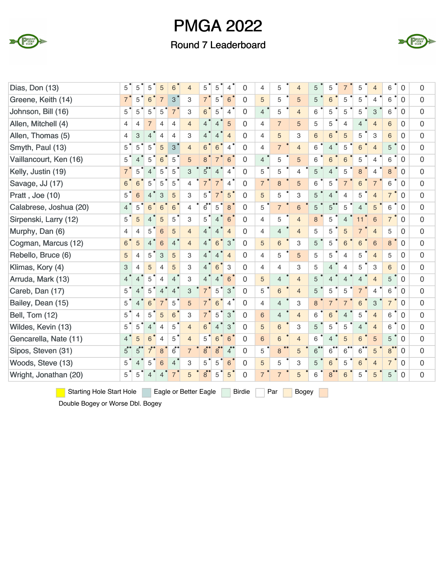

#### Round 7 Leaderboard



| Dias, Don (13)         | $5^{\degree}$  | 5                         | 5              | $\overline{5}$            | 6              | $\overline{4}$ | 5              | 5              | $\overline{4}$             | $\Omega$       | $\overline{4}$ | 5              | $\overline{4}$ | 5              | 5                        | $\overline{7}$ | 5               | $\overline{4}$  | 6              | $\mathbf 0$    | $\Omega$       |
|------------------------|----------------|---------------------------|----------------|---------------------------|----------------|----------------|----------------|----------------|----------------------------|----------------|----------------|----------------|----------------|----------------|--------------------------|----------------|-----------------|-----------------|----------------|----------------|----------------|
| Greene, Keith (14)     | $7^{\degree}$  | 5                         | 6              | $\overline{7}$            | 3              | 3              | $7^{\degree}$  | 5              | $6\phantom{1}6$            | 0              | 5              | 5              | 5              | 5              | 6                        | 5              | 5               | $\overline{4}$  | 6              | $\mathbf 0$    | $\Omega$       |
| Johnson, Bill (16)     | 5              | 5                         | 5              | 5                         | $\overline{7}$ | 3              | 6              | 5              | $\overline{4}$             | 0              | $\overline{4}$ | 5              | $\overline{4}$ | 6              | 5                        | 5              | 5               | 3               | 6              | $\mathbf 0$    | $\mathbf 0$    |
| Allen, Mitchell (4)    | 4              | $\overline{4}$            | $\overline{7}$ | $\overline{4}$            | $\overline{4}$ | $\overline{4}$ | $\overline{4}$ | $\overline{4}$ | 5                          | $\Omega$       | 4              | $\overline{7}$ | 5              | 5              | 5                        | $\overline{4}$ | $\overline{4}$  | $\overline{4}$  | 6              | 0              | $\overline{0}$ |
| Allen, Thomas (5)      | 4              | $\ensuremath{\mathsf{3}}$ | $\overline{4}$ | $\overline{4}$            | $\overline{4}$ | 3              | $\overline{4}$ | $\overline{4}$ | $\overline{4}$             | $\Omega$       | $\overline{4}$ | 5              | 3              | $6\phantom{a}$ | 6                        | 5              | 5               | 3               | 6              | $\Omega$       | $\mathbf 0$    |
| Smyth, Paul (13)       | $5^{\degree}$  | 5                         | 5              | 5                         | 3              | $\overline{4}$ | 6              | 6              | $\overline{4}$             | 0              | 4              | $\overline{7}$ | $\overline{4}$ | 6              | $\overline{4}$           | 5              | $6\phantom{1}6$ | $\overline{4}$  | 5              | $\overline{0}$ | $\overline{0}$ |
| Vaillancourt, Ken (16) | 5              | $\overline{4}$            | 5              | 6                         | 5              | 5              | 8              | 7              | 6                          | $\Omega$       | $\overline{4}$ | 5              | 5              | 6              | 6                        | 6              | 5               | $\overline{4}$  | 6              | $\Omega$       | $\mathbf 0$    |
| Kelly, Justin (19)     | $\overline{7}$ | 5                         | $\overline{4}$ | 5                         | 5              | 3              | $5^{\degree}$  | $\overline{4}$ | $\overline{4}$             | 0              | 5              | 5              | $\overline{4}$ | 5              | $\overline{4}$           | 5              | 8               | $\overline{4}$  | 8              | $\Omega$       | $\mathbf 0$    |
| Savage, JJ (17)        | $6^{\degree}$  | 6                         | 5              | 5                         | $\overline{5}$ | $\overline{4}$ | $\overline{7}$ | $\overline{7}$ | $\overline{4}$             | $\Omega$       | $\overline{7}$ | 8              | 5              | 6              | 5                        | $\overline{7}$ | 6               | $\overline{7}$  | 6              | $\Omega$       | $\mathbf 0$    |
| Pratt, Joe (10)        | $5^{\degree}$  | $6\phantom{1}6$           | $\overline{4}$ | $\ensuremath{\mathsf{3}}$ | 5              | 3              | $5^{\degree}$  | $\overline{7}$ | $5^{\degree}$              | $\overline{0}$ | 5              | 5              | 3              | 5              | $\overline{4}$           | $\overline{4}$ | 5               | $\overline{4}$  | $\overline{7}$ | $\overline{0}$ | $\mathbf 0$    |
| Calabrese, Joshua (20) | $\overline{4}$ | 5                         | $6\phantom{a}$ | $\,$ 6 $\,$               | $6\phantom{a}$ | 4              | $\overline{6}$ | 5              | 8                          | 0              | 5              | $\overline{7}$ | $6\phantom{1}$ | 5              | 5                        | 5              | $\overline{4}$  | 5               | 6              | $\mathbf 0$    | 0              |
| Sirpenski, Larry (12)  | 5              | $\overline{5}$            | 4              | 5                         | 5              | 3              | 5              | $\overline{4}$ | $6\phantom{1}$             | 0              | $\overline{4}$ | 5              | $\overline{4}$ | 8              | 5                        | $\overline{4}$ | 11              | $6\phantom{1}6$ | $\overline{7}$ | $\mathbf 0$    | $\mathbf 0$    |
| Murphy, Dan (6)        | 4              | $\overline{4}$            | 5              | $\,6\,$                   | 5              | $\overline{4}$ | $\overline{4}$ | $\overline{4}$ | $\overline{4}$             | $\Omega$       | $\overline{4}$ | $\overline{4}$ | $\overline{4}$ | 5              | 5                        | $\overline{5}$ | $\overline{7}$  | $\overline{4}$  | 5              | $\mathbf 0$    | $\mathbf 0$    |
| Cogman, Marcus (12)    | $6^{\degree}$  | 5                         | $\overline{4}$ | $6\phantom{1}6$           | $\overline{4}$ | $\overline{4}$ | $\overline{4}$ | 6              | 3                          | 0              | 5              | 6              | 3              | 5              | 5                        | 6              | 6               | 6               | 8              | $\mathbf 0$    | $\mathbf 0$    |
| Rebello, Bruce (6)     | 5              | $\overline{4}$            | 5              | 3                         | 5              | 3              | $\overline{4}$ | $\overline{4}$ | $\overline{4}$             | $\Omega$       | $\overline{4}$ | 5              | 5              | 5              | 5                        | $\overline{4}$ | 5               | $\overline{4}$  | 5              | $\mathbf 0$    | $\mathbf 0$    |
| Klimas, Kory (4)       | 3              | $\overline{4}$            | 5              | $\overline{4}$            | 5              | 3              | $4^{\circ}$    | 6              | 3                          | $\Omega$       | $\overline{4}$ | $\overline{4}$ | 3              | 5              | $\overline{4}$           | $\overline{4}$ | 5               | 3               | 6              | $\Omega$       | $\overline{0}$ |
| Arruda, Mark (13)      | $\overline{4}$ | $\overline{4}$            | 5              | $\overline{4}$            | $\overline{4}$ | 3              | 4              | $\overline{4}$ | $\,6$                      | $\Omega$       | 5              | $\overline{4}$ | $\overline{4}$ | 5              | $\overline{4}$           | $\overline{4}$ | $\overline{4}$  | $\overline{4}$  | 5              | $\mathbf{0}$   | $\mathbf 0$    |
| Careb, Dan (17)        | $5^{\degree}$  | $\overline{4}$            | 5              | $\overline{4}$            | $\overline{4}$ | 3              |                | 5              | 3                          | 0              | 5              | $6\phantom{1}$ | $\overline{4}$ | 5              | 5                        | 5              |                 | $\overline{4}$  | 6              | $\mathbf 0$    | $\mathbf 0$    |
| Bailey, Dean (15)      | 5              | $\overline{4}$            | 6              | $\overline{7}$            | 5              | 5              | $7^{\degree}$  | $6\phantom{a}$ | $\overline{4}$             | 0              | $\overline{4}$ | $\overline{4}$ | 3              | 8              |                          | $\overline{7}$ | 6               | 3               | $\overline{7}$ | $\mathbf 0$    | $\mathbf 0$    |
| Bell, Tom (12)         | 5              | $\overline{4}$            | 5              | $\overline{5}$            | $6\phantom{1}$ | 3              | $7^{\degree}$  | 5              | 3                          | 0              | 6              | $\overline{4}$ | $\overline{4}$ | 6              | 6                        | $\overline{4}$ | 5               | $\overline{4}$  | 6              | $\mathbf 0$    | 0              |
| Wildes, Kevin (13)     | 5              | 5                         | $\overline{4}$ | $\overline{4}$            | 5              | $\overline{4}$ | 6              | $\overline{4}$ | 3                          | $\Omega$       | 5              | 6              | 3              | 5              | 5                        | 5              | $\overline{4}$  | $\overline{4}$  | 6              | $\mathbf 0$    | $\Omega$       |
| Gencarella, Nate (11)  | $\overline{4}$ | 5                         | 6              | $\overline{4}$            | 5              | $\overline{4}$ | 5              | 6              | 6                          | $\Omega$       | 6              | 6              | $\overline{4}$ | 6              | $\overline{\mathcal{L}}$ | 5              | 6               | 5               | 5              | $\mathbf 0$    | 0              |
| Sipos, Steven (31)     | $5^{\degree}$  | $5^{\circ}$               | $7^{\bullet}$  | 8                         | $\overline{6}$ | $\overline{7}$ | 8 <sup>°</sup> | $\mathbf{8}$   | $\boldsymbol{4}^{\bullet}$ | $\Omega$       | 5              | 8              | 5              | 6              | 6                        | 6              | 6               | 5               | 8 <sup>°</sup> | $\mathbf{0}$   | $\mathbf 0$    |
| Woods, Steve (13)      | 5              | $\overline{4}$            | 5              | $6\phantom{1}6$           | $\overline{4}$ | 3              | 5              | 5              | 6                          | $\overline{0}$ | 5              | 5              | 3              | 5              | $6\phantom{1}$           | 5              | 6               | $\overline{4}$  | $\overline{7}$ | $\Omega$       | $\mathbf 0$    |
| Wright, Jonathan (20)  | 5              | 5                         |                |                           |                | 5              | 8 <sup>°</sup> | 5              | 5                          | $\overline{0}$ | $\overline{7}$ | $\overline{7}$ | 5              | 6              | 8                        | 6              | 5               | 5               | 5              | $\overline{0}$ | $\overline{0}$ |

Starting Hole Start Hole Eagle or Better Eagle Birdie Par Bogey  $\mathcal{L}^{\text{max}}$ 

Double Bogey or Worse Dbl. Bogey